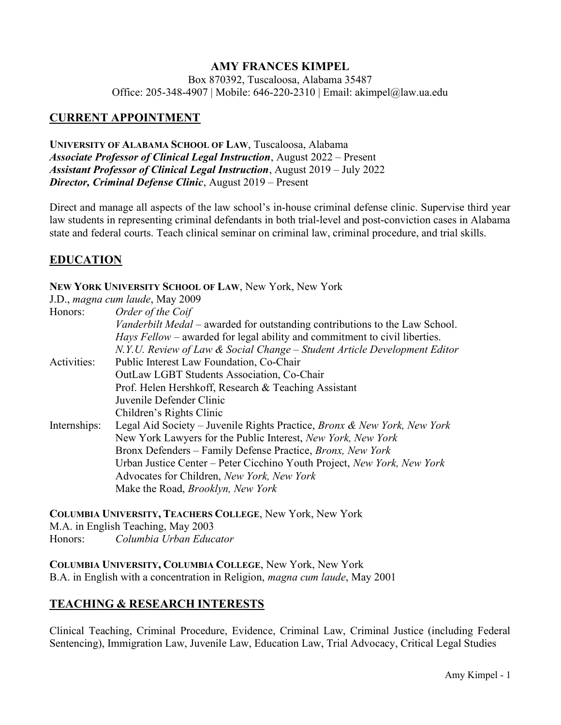## AMY FRANCES KIMPEL

Box 870392, Tuscaloosa, Alabama 35487 Office: 205-348-4907 | Mobile: 646-220-2310 | Email: akimpel@law.ua.edu

# CURRENT APPOINTMENT

UNIVERSITY OF ALABAMA SCHOOL OF LAW, Tuscaloosa, Alabama Associate Professor of Clinical Legal Instruction, August 2022 – Present Assistant Professor of Clinical Legal Instruction, August 2019 – July 2022 Director, Criminal Defense Clinic, August 2019 – Present

Direct and manage all aspects of the law school's in-house criminal defense clinic. Supervise third year law students in representing criminal defendants in both trial-level and post-conviction cases in Alabama state and federal courts. Teach clinical seminar on criminal law, criminal procedure, and trial skills.

### **EDUCATION**

#### NEW YORK UNIVERSITY SCHOOL OF LAW, New York, New York

|              | J.D., magna cum laude, May 2009                                                   |
|--------------|-----------------------------------------------------------------------------------|
| Honors:      | Order of the Coif                                                                 |
|              | Vanderbilt Medal – awarded for outstanding contributions to the Law School.       |
|              | <i>Hays Fellow</i> – awarded for legal ability and commitment to civil liberties. |
|              | N.Y.U. Review of Law & Social Change – Student Article Development Editor         |
| Activities:  | Public Interest Law Foundation, Co-Chair                                          |
|              | <b>OutLaw LGBT Students Association, Co-Chair</b>                                 |
|              | Prof. Helen Hershkoff, Research & Teaching Assistant                              |
|              | Juvenile Defender Clinic                                                          |
|              | Children's Rights Clinic                                                          |
| Internships: | Legal Aid Society - Juvenile Rights Practice, Bronx & New York, New York          |
|              | New York Lawyers for the Public Interest, New York, New York                      |
|              | Bronx Defenders – Family Defense Practice, Bronx, New York                        |
|              | Urban Justice Center – Peter Cicchino Youth Project, New York, New York           |
|              | Advocates for Children, New York, New York                                        |
|              | Make the Road, <i>Brooklyn</i> , <i>New York</i>                                  |

COLUMBIA UNIVERSITY, TEACHERS COLLEGE, New York, New York M.A. in English Teaching, May 2003 Honors: Columbia Urban Educator

COLUMBIA UNIVERSITY, COLUMBIA COLLEGE, New York, New York B.A. in English with a concentration in Religion, magna cum laude, May 2001

### TEACHING & RESEARCH INTERESTS

Clinical Teaching, Criminal Procedure, Evidence, Criminal Law, Criminal Justice (including Federal Sentencing), Immigration Law, Juvenile Law, Education Law, Trial Advocacy, Critical Legal Studies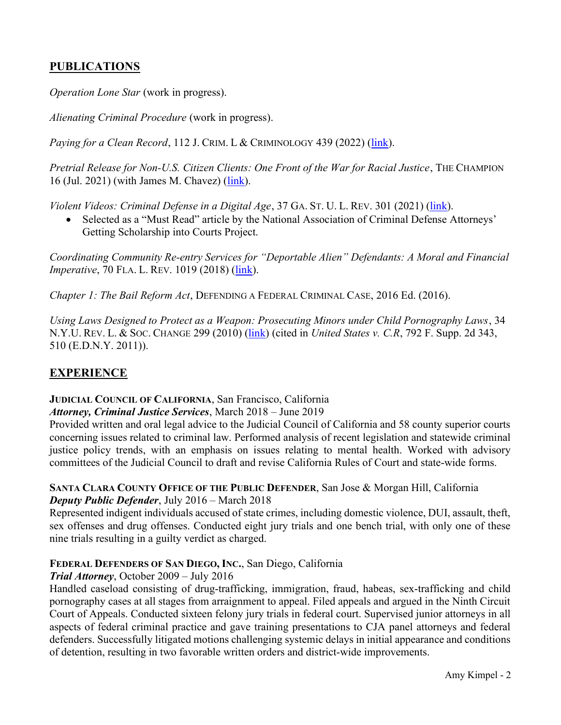# PUBLICATIONS

Operation Lone Star (work in progress).

Alienating Criminal Procedure (work in progress).

Paying for a Clean Record, 112 J. CRIM. L & CRIMINOLOGY 439 (2022) (link).

Pretrial Release for Non-U.S. Citizen Clients: One Front of the War for Racial Justice, THE CHAMPION 16 (Jul. 2021) (with James M. Chavez) (link).

Violent Videos: Criminal Defense in a Digital Age, 37 GA. ST. U. L. REV. 301 (2021) (link).

• Selected as a "Must Read" article by the National Association of Criminal Defense Attorneys' Getting Scholarship into Courts Project.

Coordinating Community Re-entry Services for "Deportable Alien" Defendants: A Moral and Financial *Imperative, 70 FLA. L. REV. 1019 (2018) (link).* 

Chapter 1: The Bail Reform Act, DEFENDING A FEDERAL CRIMINAL CASE, 2016 Ed. (2016).

Using Laws Designed to Protect as a Weapon: Prosecuting Minors under Child Pornography Laws, 34 N.Y.U. REV. L. & Soc. CHANGE 299 (2010) (link) (cited in *United States v. C.R, 792 F. Supp. 2d 343,* 510 (E.D.N.Y. 2011)).

# EXPERIENCE

#### JUDICIAL COUNCIL OF CALIFORNIA, San Francisco, California Attorney, Criminal Justice Services, March 2018 – June 2019

Provided written and oral legal advice to the Judicial Council of California and 58 county superior courts concerning issues related to criminal law. Performed analysis of recent legislation and statewide criminal justice policy trends, with an emphasis on issues relating to mental health. Worked with advisory committees of the Judicial Council to draft and revise California Rules of Court and state-wide forms.

#### SANTA CLARA COUNTY OFFICE OF THE PUBLIC DEFENDER, San Jose & Morgan Hill, California Deputy Public Defender, July 2016 – March 2018

Represented indigent individuals accused of state crimes, including domestic violence, DUI, assault, theft, sex offenses and drug offenses. Conducted eight jury trials and one bench trial, with only one of these nine trials resulting in a guilty verdict as charged.

### FEDERAL DEFENDERS OF SAN DIEGO, INC., San Diego, California

### Trial Attorney, October 2009 – July 2016

Handled caseload consisting of drug-trafficking, immigration, fraud, habeas, sex-trafficking and child pornography cases at all stages from arraignment to appeal. Filed appeals and argued in the Ninth Circuit Court of Appeals. Conducted sixteen felony jury trials in federal court. Supervised junior attorneys in all aspects of federal criminal practice and gave training presentations to CJA panel attorneys and federal defenders. Successfully litigated motions challenging systemic delays in initial appearance and conditions of detention, resulting in two favorable written orders and district-wide improvements.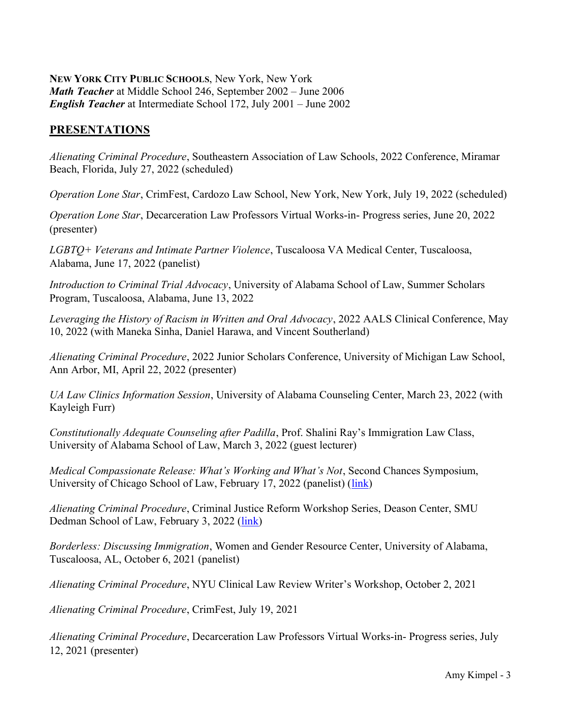#### NEW YORK CITY PUBLIC SCHOOLS, New York, New York Math Teacher at Middle School 246, September 2002 – June 2006 English Teacher at Intermediate School 172, July 2001 – June 2002

# **PRESENTATIONS**

Alienating Criminal Procedure, Southeastern Association of Law Schools, 2022 Conference, Miramar Beach, Florida, July 27, 2022 (scheduled)

Operation Lone Star, CrimFest, Cardozo Law School, New York, New York, July 19, 2022 (scheduled)

Operation Lone Star, Decarceration Law Professors Virtual Works-in- Progress series, June 20, 2022 (presenter)

LGBTQ+ Veterans and Intimate Partner Violence, Tuscaloosa VA Medical Center, Tuscaloosa, Alabama, June 17, 2022 (panelist)

Introduction to Criminal Trial Advocacy, University of Alabama School of Law, Summer Scholars Program, Tuscaloosa, Alabama, June 13, 2022

Leveraging the History of Racism in Written and Oral Advocacy, 2022 AALS Clinical Conference, May 10, 2022 (with Maneka Sinha, Daniel Harawa, and Vincent Southerland)

Alienating Criminal Procedure, 2022 Junior Scholars Conference, University of Michigan Law School, Ann Arbor, MI, April 22, 2022 (presenter)

UA Law Clinics Information Session, University of Alabama Counseling Center, March 23, 2022 (with Kayleigh Furr)

Constitutionally Adequate Counseling after Padilla, Prof. Shalini Ray's Immigration Law Class, University of Alabama School of Law, March 3, 2022 (guest lecturer)

Medical Compassionate Release: What's Working and What's Not, Second Chances Symposium, University of Chicago School of Law, February 17, 2022 (panelist) (link)

Alienating Criminal Procedure, Criminal Justice Reform Workshop Series, Deason Center, SMU Dedman School of Law, February 3, 2022 (link)

Borderless: Discussing Immigration, Women and Gender Resource Center, University of Alabama, Tuscaloosa, AL, October 6, 2021 (panelist)

Alienating Criminal Procedure, NYU Clinical Law Review Writer's Workshop, October 2, 2021

Alienating Criminal Procedure, CrimFest, July 19, 2021

Alienating Criminal Procedure, Decarceration Law Professors Virtual Works-in- Progress series, July 12, 2021 (presenter)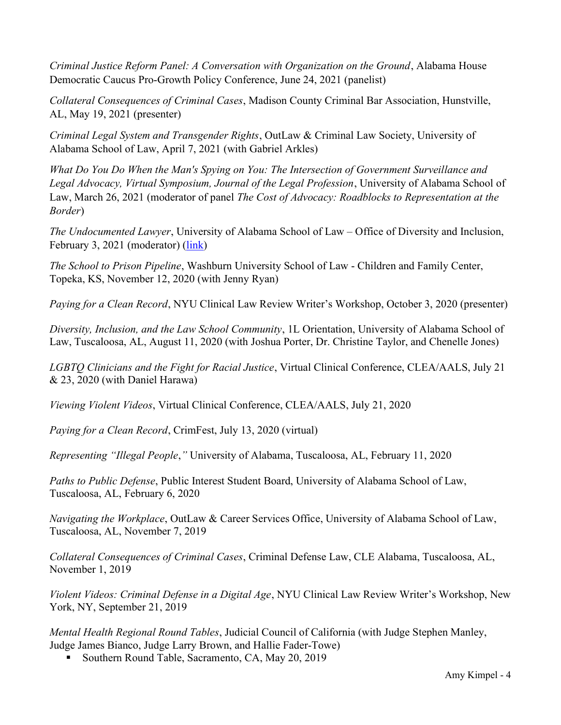Criminal Justice Reform Panel: A Conversation with Organization on the Ground, Alabama House Democratic Caucus Pro-Growth Policy Conference, June 24, 2021 (panelist)

Collateral Consequences of Criminal Cases, Madison County Criminal Bar Association, Hunstville, AL, May 19, 2021 (presenter)

Criminal Legal System and Transgender Rights, OutLaw & Criminal Law Society, University of Alabama School of Law, April 7, 2021 (with Gabriel Arkles)

What Do You Do When the Man's Spying on You: The Intersection of Government Surveillance and Legal Advocacy, Virtual Symposium, Journal of the Legal Profession, University of Alabama School of Law, March 26, 2021 (moderator of panel The Cost of Advocacy: Roadblocks to Representation at the Border)

The Undocumented Lawyer, University of Alabama School of Law – Office of Diversity and Inclusion, February 3, 2021 (moderator) (link)

The School to Prison Pipeline, Washburn University School of Law - Children and Family Center, Topeka, KS, November 12, 2020 (with Jenny Ryan)

Paying for a Clean Record, NYU Clinical Law Review Writer's Workshop, October 3, 2020 (presenter)

Diversity, Inclusion, and the Law School Community, 1L Orientation, University of Alabama School of Law, Tuscaloosa, AL, August 11, 2020 (with Joshua Porter, Dr. Christine Taylor, and Chenelle Jones)

LGBTQ Clinicians and the Fight for Racial Justice, Virtual Clinical Conference, CLEA/AALS, July 21 & 23, 2020 (with Daniel Harawa)

Viewing Violent Videos, Virtual Clinical Conference, CLEA/AALS, July 21, 2020

Paying for a Clean Record, CrimFest, July 13, 2020 (virtual)

Representing "Illegal People," University of Alabama, Tuscaloosa, AL, February 11, 2020

Paths to Public Defense, Public Interest Student Board, University of Alabama School of Law, Tuscaloosa, AL, February 6, 2020

Navigating the Workplace, OutLaw & Career Services Office, University of Alabama School of Law, Tuscaloosa, AL, November 7, 2019

Collateral Consequences of Criminal Cases, Criminal Defense Law, CLE Alabama, Tuscaloosa, AL, November 1, 2019

Violent Videos: Criminal Defense in a Digital Age, NYU Clinical Law Review Writer's Workshop, New York, NY, September 21, 2019

Mental Health Regional Round Tables, Judicial Council of California (with Judge Stephen Manley, Judge James Bianco, Judge Larry Brown, and Hallie Fader-Towe)

Southern Round Table, Sacramento, CA, May 20, 2019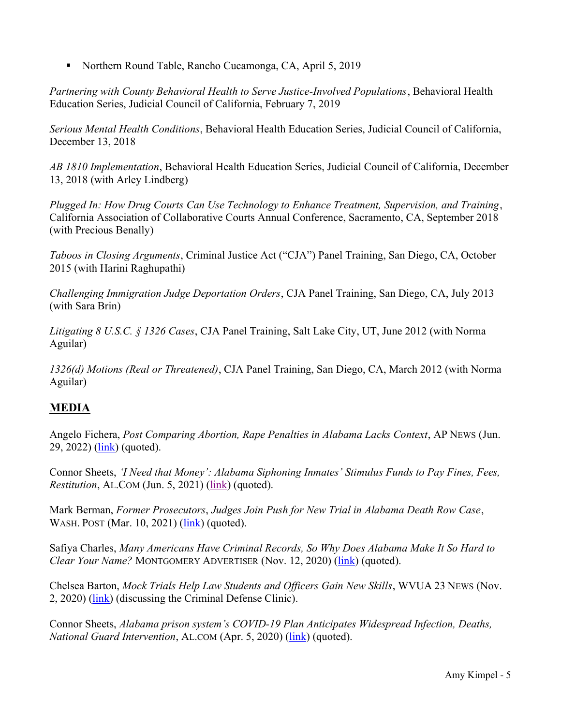■ Northern Round Table, Rancho Cucamonga, CA, April 5, 2019

Partnering with County Behavioral Health to Serve Justice-Involved Populations, Behavioral Health Education Series, Judicial Council of California, February 7, 2019

Serious Mental Health Conditions, Behavioral Health Education Series, Judicial Council of California, December 13, 2018

AB 1810 Implementation, Behavioral Health Education Series, Judicial Council of California, December 13, 2018 (with Arley Lindberg)

Plugged In: How Drug Courts Can Use Technology to Enhance Treatment, Supervision, and Training, California Association of Collaborative Courts Annual Conference, Sacramento, CA, September 2018 (with Precious Benally)

Taboos in Closing Arguments, Criminal Justice Act ("CJA") Panel Training, San Diego, CA, October 2015 (with Harini Raghupathi)

Challenging Immigration Judge Deportation Orders, CJA Panel Training, San Diego, CA, July 2013 (with Sara Brin)

Litigating 8 U.S.C. § 1326 Cases, CJA Panel Training, Salt Lake City, UT, June 2012 (with Norma Aguilar)

1326(d) Motions (Real or Threatened), CJA Panel Training, San Diego, CA, March 2012 (with Norma Aguilar)

# MEDIA

Angelo Fichera, Post Comparing Abortion, Rape Penalties in Alabama Lacks Context, AP NEWS (Jun. 29, 2022) (link) (quoted).

Connor Sheets, 'I Need that Money': Alabama Siphoning Inmates' Stimulus Funds to Pay Fines, Fees, Restitution, AL.COM (Jun. 5, 2021) (link) (quoted).

Mark Berman, Former Prosecutors, Judges Join Push for New Trial in Alabama Death Row Case, WASH. POST (Mar. 10, 2021) (*link*) (quoted).

Safiya Charles, Many Americans Have Criminal Records, So Why Does Alabama Make It So Hard to Clear Your Name? MONTGOMERY ADVERTISER (Nov. 12, 2020) (link) (quoted).

Chelsea Barton, Mock Trials Help Law Students and Officers Gain New Skills, WVUA 23 NEWS (Nov. 2, 2020) (link) (discussing the Criminal Defense Clinic).

Connor Sheets, Alabama prison system's COVID-19 Plan Anticipates Widespread Infection, Deaths, National Guard Intervention, AL.COM (Apr. 5, 2020) (link) (quoted).